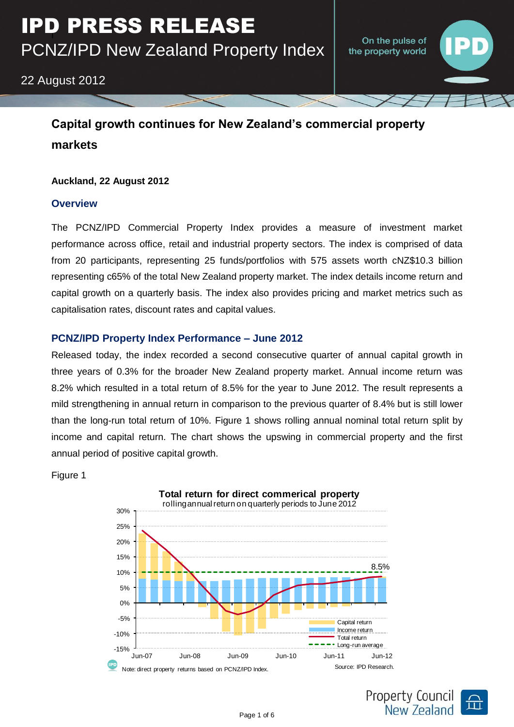# 22 August 2012

# **Capital growth continues for New Zealand's commercial property markets**

## **Auckland, 22 August 2012**

## **Overview**

The PCNZ/IPD Commercial Property Index provides a measure of investment market performance across office, retail and industrial property sectors. The index is comprised of data from 20 participants, representing 25 funds/portfolios with 575 assets worth cNZ\$10.3 billion representing c65% of the total New Zealand property market. The index details income return and capital growth on a quarterly basis. The index also provides pricing and market metrics such as capitalisation rates, discount rates and capital values.

## **PCNZ/IPD Property Index Performance – June 2012**

Released today, the index recorded a second consecutive quarter of annual capital growth in three years of 0.3% for the broader New Zealand property market. Annual income return was 8.2% which resulted in a total return of 8.5% for the year to June 2012. The result represents a mild strengthening in annual return in comparison to the previous quarter of 8.4% but is still lower than the long-run total return of 10%. Figure 1 shows rolling annual nominal total return split by income and capital return. The chart shows the upswing in commercial property and the first annual period of positive capital growth.

Figure 1



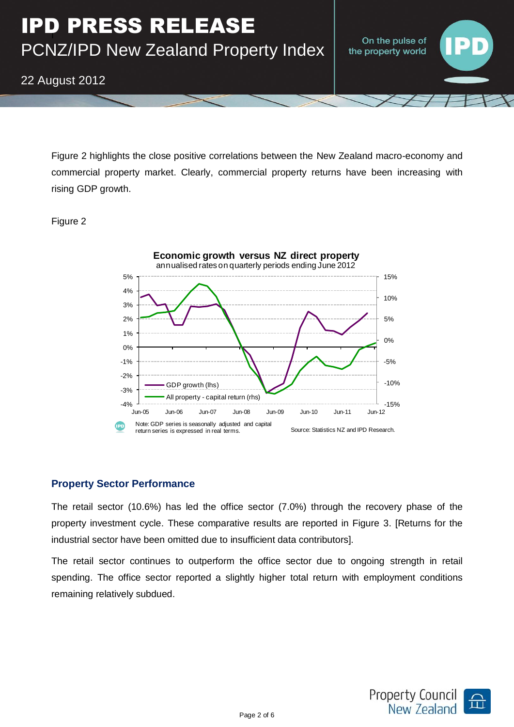On the pulse of the property world

22 August 2012

Figure 2 highlights the close positive correlations between the New Zealand macro-economy and commercial property market. Clearly, commercial property returns have been increasing with rising GDP growth.

## Figure 2



## **Property Sector Performance**

The retail sector (10.6%) has led the office sector (7.0%) through the recovery phase of the property investment cycle. These comparative results are reported in Figure 3. [Returns for the industrial sector have been omitted due to insufficient data contributors].

The retail sector continues to outperform the office sector due to ongoing strength in retail spending. The office sector reported a slightly higher total return with employment conditions remaining relatively subdued.

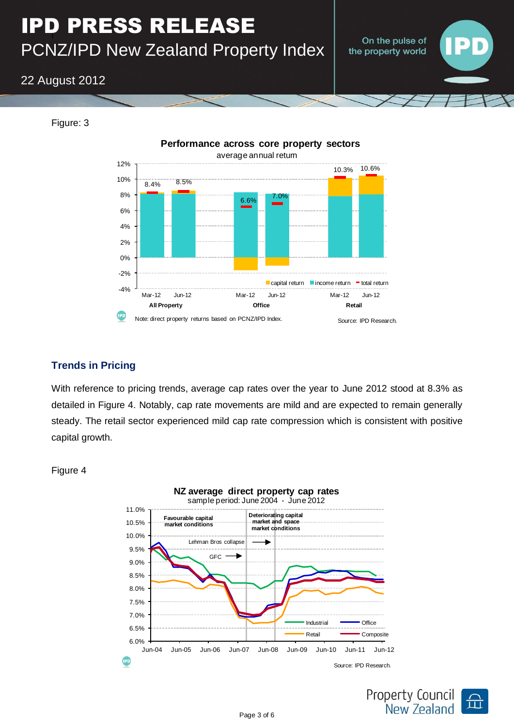# I IPD PRESS RELEASE PCNZ/IPD New Zealand Property Index

On the pulse of the property world

# 22 August 2012



Figure: 3

## **Trends in Pricing**

With reference to pricing trends, average cap rates over the year to June 2012 stood at 8.3% as detailed in Figure 4. Notably, cap rate movements are mild and are expected to remain generally steady. The retail sector experienced mild cap rate compression which is consistent with positive capital growth.

Figure 4



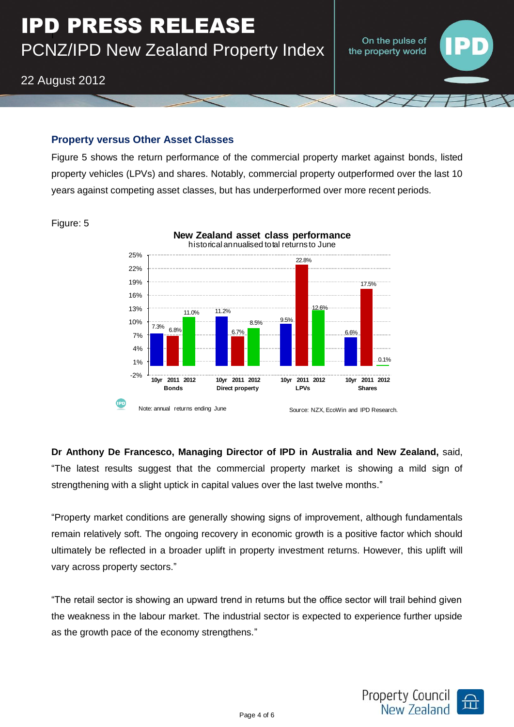## **Property versus Other Asset Classes**

Figure 5 shows the return performance of the commercial property market against bonds, listed property vehicles (LPVs) and shares. Notably, commercial property outperformed over the last 10 years against competing asset classes, but has underperformed over more recent periods.



Figure: 5

**Dr Anthony De Francesco, Managing Director of IPD in Australia and New Zealand,** said, "The latest results suggest that the commercial property market is showing a mild sign of strengthening with a slight uptick in capital values over the last twelve months."

"Property market conditions are generally showing signs of improvement, although fundamentals remain relatively soft. The ongoing recovery in economic growth is a positive factor which should ultimately be reflected in a broader uplift in property investment returns. However, this uplift will vary across property sectors."

"The retail sector is showing an upward trend in returns but the office sector will trail behind given the weakness in the labour market. The industrial sector is expected to experience further upside as the growth pace of the economy strengthens."



On the pulse of the property world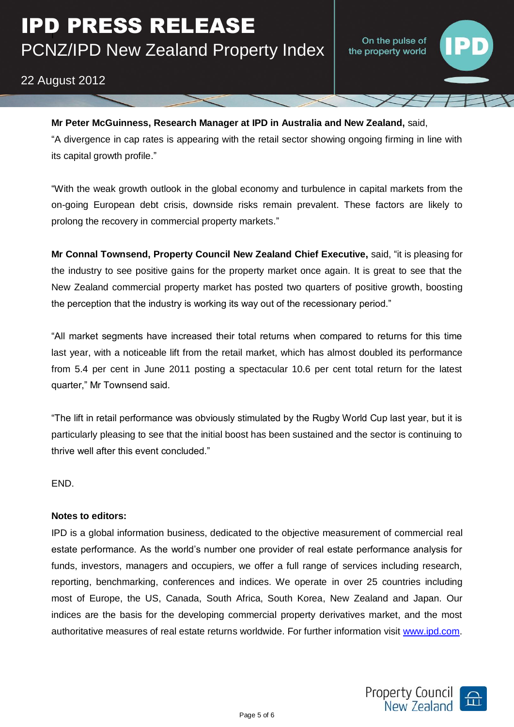On the pulse of the property world

# 22 August 2012

#### **Mr Peter McGuinness, Research Manager at IPD in Australia and New Zealand,** said,

"A divergence in cap rates is appearing with the retail sector showing ongoing firming in line with its capital growth profile."

"With the weak growth outlook in the global economy and turbulence in capital markets from the on-going European debt crisis, downside risks remain prevalent. These factors are likely to prolong the recovery in commercial property markets."

**Mr Connal Townsend, Property Council New Zealand Chief Executive,** said, "it is pleasing for the industry to see positive gains for the property market once again. It is great to see that the New Zealand commercial property market has posted two quarters of positive growth, boosting the perception that the industry is working its way out of the recessionary period."

"All market segments have increased their total returns when compared to returns for this time last year, with a noticeable lift from the retail market, which has almost doubled its performance from 5.4 per cent in June 2011 posting a spectacular 10.6 per cent total return for the latest quarter," Mr Townsend said.

"The lift in retail performance was obviously stimulated by the Rugby World Cup last year, but it is particularly pleasing to see that the initial boost has been sustained and the sector is continuing to thrive well after this event concluded."

END.

## **Notes to editors:**

IPD is a global information business, dedicated to the objective measurement of commercial real estate performance. As the world's number one provider of real estate performance analysis for funds, investors, managers and occupiers, we offer a full range of services including research, reporting, benchmarking, conferences and indices. We operate in over 25 countries including most of Europe, the US, Canada, South Africa, South Korea, New Zealand and Japan. Our indices are the basis for the developing commercial property derivatives market, and the most authoritative measures of real estate returns worldwide. For further information visit [www.ipd.com.](http://www.ipd.com/)